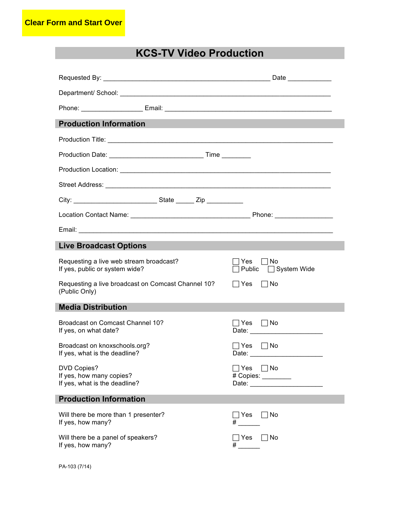## **KCS-TV Video Production**

| Department/School: New York Department/School:                            |                                                                                                                                                                                                                                                                 |
|---------------------------------------------------------------------------|-----------------------------------------------------------------------------------------------------------------------------------------------------------------------------------------------------------------------------------------------------------------|
|                                                                           |                                                                                                                                                                                                                                                                 |
| <b>Production Information</b>                                             |                                                                                                                                                                                                                                                                 |
|                                                                           |                                                                                                                                                                                                                                                                 |
|                                                                           |                                                                                                                                                                                                                                                                 |
|                                                                           |                                                                                                                                                                                                                                                                 |
|                                                                           |                                                                                                                                                                                                                                                                 |
|                                                                           |                                                                                                                                                                                                                                                                 |
|                                                                           |                                                                                                                                                                                                                                                                 |
|                                                                           |                                                                                                                                                                                                                                                                 |
| <b>Live Broadcast Options</b>                                             |                                                                                                                                                                                                                                                                 |
| Requesting a live web stream broadcast?<br>If yes, public or system wide? | Yes     No<br>Public □ System Wide                                                                                                                                                                                                                              |
| Requesting a live broadcast on Comcast Channel 10?<br>(Public Only)       | $\Box$ No<br>∣Yes                                                                                                                                                                                                                                               |
| <b>Media Distribution</b>                                                 |                                                                                                                                                                                                                                                                 |
| Broadcast on Comcast Channel 10?<br>If yes, on what date?                 | ∣Yes<br>l INo<br>Date: 2008 2010 2010 2021 2022 2023 2024 2022 2023 2024 2022 2023 2024 2022 2023 2024 2022 2023 2024 2025 2026                                                                                                                                 |
| Broadcast on knoxschools.org?<br>If yes, what is the deadline?            | $\Box$ Yes $\Box$ No<br>Date: __________________________                                                                                                                                                                                                        |
| DVD Copies?<br>If yes, how many copies?<br>If yes, what is the deadline?  | ⊃Yes □No<br># Copies: ________<br>Date: and the state of the state of the state of the state of the state of the state of the state of the state of the state of the state of the state of the state of the state of the state of the state of the state of the |
| <b>Production Information</b>                                             |                                                                                                                                                                                                                                                                 |
| Will there be more than 1 presenter?<br>If yes, how many?                 | ] Yes<br>   No                                                                                                                                                                                                                                                  |
| Will there be a panel of speakers?<br>If yes, how many?                   | ] Yes<br>   No                                                                                                                                                                                                                                                  |